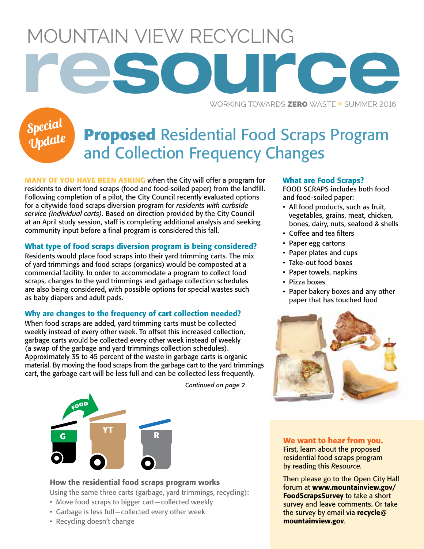Mountain View Recycling **resource**

WORKING TOWARDS **ZERO** WASTE **E** SUMMER 2016

# Special Update

# **Proposed** Residential Food Scraps Program and Collection Frequency Changes

MANY OF YOU HAVE BEEN ASKING when the City will offer a program for residents to divert food scraps (food and food-soiled paper) from the landfill. Following completion of a pilot, the City Council recently evaluated options for a citywide food scraps diversion program for *residents with curbside service (individual carts)*. Based on direction provided by the City Council at an April study session, staff is completing additional analysis and seeking community input before a final program is considered this fall.

#### What type of food scraps diversion program is being considered?

Residents would place food scraps into their yard trimming carts. The mix of yard trimmings and food scraps (organics) would be composted at a commercial facility. In order to accommodate a program to collect food scraps, changes to the yard trimmings and garbage collection schedules are also being considered, with possible options for special wastes such as baby diapers and adult pads.

#### Why are changes to the frequency of cart collection needed?

When food scraps are added, yard trimming carts must be collected weekly instead of every other week. To offset this increased collection, garbage carts would be collected every other week instead of weekly (a swap of the garbage and yard trimmings collection schedules). Approximately 35 to 45 percent of the waste in garbage carts is organic material. By moving the food scraps from the garbage cart to the yard trimmings cart, the garbage cart will be less full and can be collected less frequently.



*Continued on page 2*

#### What are Food Scraps?

Food scraps includes both food and food-soiled paper:

- All food products, such as fruit, vegetables, grains, meat, chicken, bones, dairy, nuts, seafood & shells
- • Coffee and tea filters
- • Paper egg cartons
- • Paper plates and cups
- Take-out food boxes
- Paper towels, napkins
- Pizza boxes
- Paper bakery boxes and any other paper that has touched food



#### **We want to hear from you.**

First, learn about the proposed residential food scraps program by reading this *Resource*.

Then please go to the Open City Hall forum at www.mountainview.gov/ FoodScrapsSurvey to take a short survey and leave comments. Or take the survey by email via recycle  $\omega$ mountainview.gov.

### How the residential food scraps program works

Using the same three carts (garbage, yard trimmings, recycling):

- Move food scraps to bigger cart-collected weekly
- • Garbage is less full—collected every other week
- Recycling doesn't change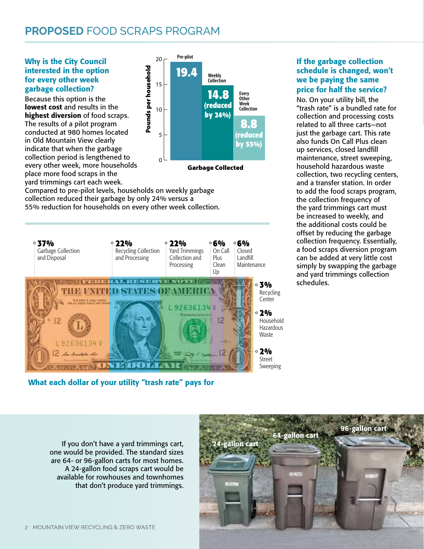# **proposed** Food scraps program

Why is the City Council interested in the option for every other week garbage collection?

Because this option is the lowest cost and results in the highest diversion of food scraps. The results of a pilot program conducted at 980 homes located in Old Mountain View clearly indicate that when the garbage collection period is lengthened to every other week, more households place more food scraps in the yard trimmings cart each week.



Garbage Collected

Compared to pre-pilot levels, households on weekly garbage collection reduced their garbage by only 24% versus a 55% reduction for households on every other week collection.



What each dollar of your utility "trash rate" pays for

If the garbage collection schedule is changed, won't we be paying the same price for half the service?

No. On your utility bill, the "trash rate" is a bundled rate for collection and processing costs related to all three carts—not just the garbage cart. This rate also funds On Call Plus clean up services, closed landfill maintenance, street sweeping, household hazardous waste collection, two recycling centers, and a transfer station. In order to add the food scraps program, the collection frequency of the yard trimmings cart must be increased to weekly, and the additional costs could be offset by reducing the garbage collection frequency. Essentially, a food scraps diversion program can be added at very little cost simply by swapping the garbage and yard trimmings collection schedules.

If you don't have a yard trimmings cart, one would be provided. The standard sizes are 64- or 96-gallon carts for most homes. A 24-gallon food scraps cart would be available for rowhouses and townhomes that don't produce yard trimmings.

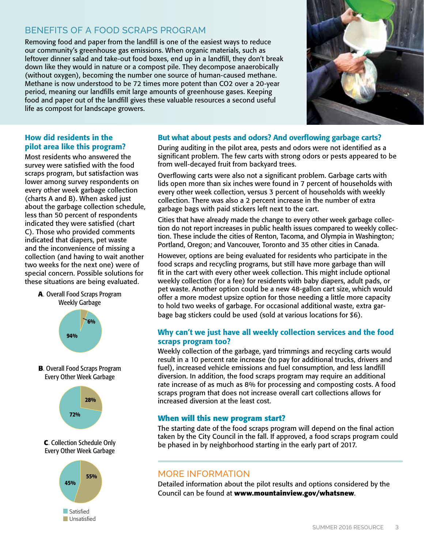## Benefits of a Food Scraps Program

Removing food and paper from the landfill is one of the easiest ways to reduce our community's greenhouse gas emissions. When organic materials, such as leftover dinner salad and take-out food boxes, end up in a landfill, they don't break down like they would in nature or a compost pile. They decompose anaerobically (without oxygen), becoming the number one source of human-caused methane. Methane is now understood to be 72 times more potent than CO2 over a 20-year period, meaning our landfills emit large amounts of greenhouse gases. Keeping food and paper out of the landfill gives these valuable resources a second useful life as compost for landscape growers.



#### How did residents in the pilot area like this program?

Most residents who answered the survey were satisfied with the food scraps program, but satisfaction was lower among survey respondents on every other week garbage collection (charts A and B). When asked just about the garbage collection schedule, less than 50 percent of respondents indicated they were satisfied (chart C). Those who provided comments indicated that diapers, pet waste and the inconvenience of missing a collection (and having to wait another two weeks for the next one) were of special concern. Possible solutions for these situations are being evaluated.





#### But what about pests and odors? And overflowing garbage carts?

During auditing in the pilot area, pests and odors were not identified as a significant problem. The few carts with strong odors or pests appeared to be from well-decayed fruit from backyard trees.

Overflowing carts were also not a significant problem. Garbage carts with lids open more than six inches were found in 7 percent of households with every other week collection, versus 3 percent of households with weekly collection. There was also a 2 percent increase in the number of extra garbage bags with paid stickers left next to the cart.

Cities that have already made the change to every other week garbage collection do not report increases in public health issues compared to weekly collection. These include the cities of Renton, Tacoma, and Olympia in Washington; Portland, Oregon; and Vancouver, Toronto and 35 other cities in Canada.

However, options are being evaluated for residents who participate in the food scraps and recycling programs, but still have more garbage than will fit in the cart with every other week collection. This might include optional weekly collection (for a fee) for residents with baby diapers, adult pads, or pet waste. Another option could be a new 48-gallon cart size, which would offer a more modest upsize option for those needing a little more capacity to hold two weeks of garbage. For occasional additional waste, extra garbage bag stickers could be used (sold at various locations for \$6).

#### Why can't we just have all weekly collection services and the food scraps program too?

Weekly collection of the garbage, yard trimmings and recycling carts would result in a 10 percent rate increase (to pay for additional trucks, drivers and fuel), increased vehicle emissions and fuel consumption, and less landfill diversion. In addition, the food scraps program may require an additional rate increase of as much as 8% for processing and composting costs. A food scraps program that does not increase overall cart collections allows for increased diversion at the least cost.

#### **When will this new program start?**

The starting date of the food scraps program will depend on the final action taken by the City Council in the fall. If approved, a food scraps program could be phased in by neighborhood starting in the early part of 2017.

#### More Information

Detailed information about the pilot results and options considered by the Council can be found at **www.mountainview.gov/whatsnew**.